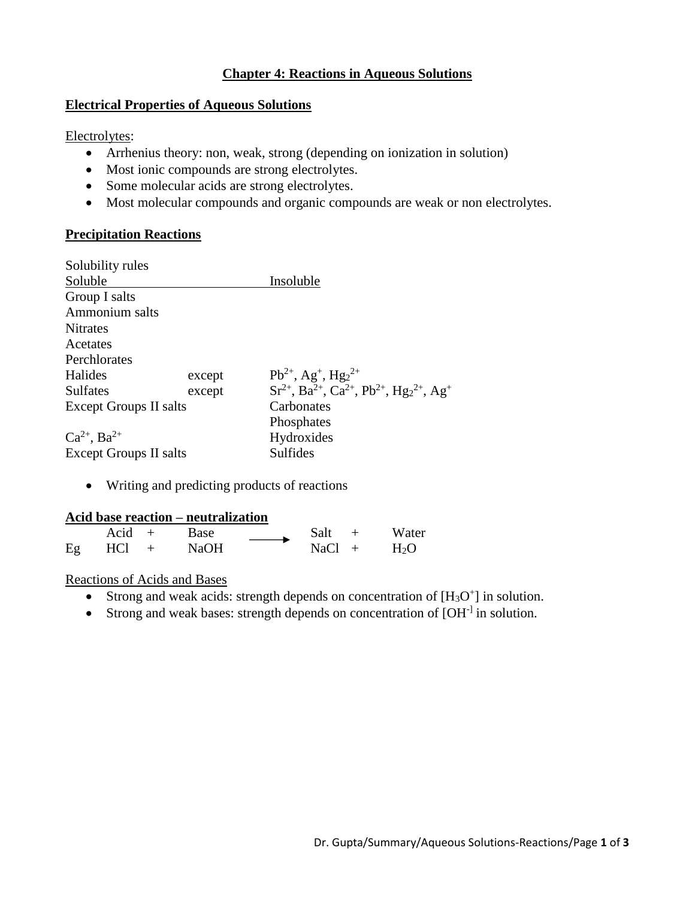### **Chapter 4: Reactions in Aqueous Solutions**

#### **Electrical Properties of Aqueous Solutions**

Electrolytes:

- Arrhenius theory: non, weak, strong (depending on ionization in solution)
- Most ionic compounds are strong electrolytes.
- Some molecular acids are strong electrolytes.
- Most molecular compounds and organic compounds are weak or non electrolytes.

#### **Precipitation Reactions**

| Solubility rules              |        |                                                                                                                      |  |  |  |
|-------------------------------|--------|----------------------------------------------------------------------------------------------------------------------|--|--|--|
| Soluble                       |        | Insoluble                                                                                                            |  |  |  |
| Group I salts                 |        |                                                                                                                      |  |  |  |
| Ammonium salts                |        |                                                                                                                      |  |  |  |
| <b>Nitrates</b>               |        |                                                                                                                      |  |  |  |
| Acetates                      |        |                                                                                                                      |  |  |  |
| Perchlorates                  |        |                                                                                                                      |  |  |  |
| Halides                       | except | $Pb^{2+}$ , Ag <sup>+</sup> , Hg <sub>2</sub> <sup>2+</sup>                                                          |  |  |  |
| Sulfates                      | except | $Sr^{2+}$ , Ba <sup>2+</sup> , Ca <sup>2+</sup> , Pb <sup>2+</sup> , Hg <sub>2</sub> <sup>2+</sup> , Ag <sup>+</sup> |  |  |  |
| <b>Except Groups II salts</b> |        | Carbonates                                                                                                           |  |  |  |
|                               |        | Phosphates                                                                                                           |  |  |  |
| $Ca^{2+}$ , $Ba^{2+}$         |        | Hydroxides                                                                                                           |  |  |  |
| <b>Except Groups II salts</b> |        | <b>Sulfides</b>                                                                                                      |  |  |  |

• Writing and predicting products of reactions

#### **Acid base reaction – neutralization**

|    | $Acid +$ | Base        | Salt     | Water  |
|----|----------|-------------|----------|--------|
| Eg | $HCl +$  | <b>NaOH</b> | $NaCl +$ | $H_2O$ |

#### Reactions of Acids and Bases

- Strong and weak acids: strength depends on concentration of  $[H_3O^+]$  in solution.
- Strong and weak bases: strength depends on concentration of [OH<sup>-]</sup> in solution.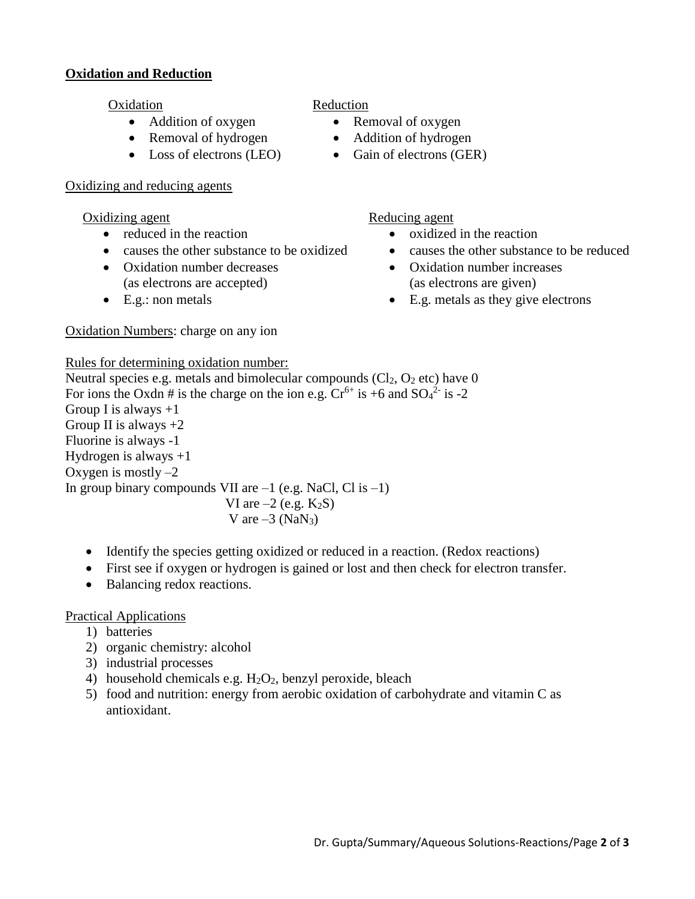### **Oxidation and Reduction**

- 
- 
- 

#### Oxidizing and reducing agents

- 
- causes the other substance to be oxidized causes the other substance to be reduced
- Oxidation number decreases (as electrons are accepted)
- 

# Oxidation Reduction

- Addition of oxygen Removal of oxygen
- Removal of hydrogen Addition of hydrogen
- Loss of electrons (LEO) Gain of electrons (GER)
- Oxidizing agent Reducing agent
	- reduced in the reaction oxidized in the reaction
		-
		- Oxidation number increases (as electrons are given)
	- E.g.: non metals E.g. metals as they give electrons

# Rules for determining oxidation number:

Oxidation Numbers: charge on any ion

Neutral species e.g. metals and bimolecular compounds  $(Cl_2, O_2$  etc) have 0 For ions the Oxdn # is the charge on the ion e.g.  $Cr^{6+}$  is +6 and  $SO_4^2$  is -2 Group I is always  $+1$ Group II is always  $+2$ Fluorine is always -1 Hydrogen is always  $+1$ Oxygen is mostly  $-2$ In group binary compounds VII are  $-1$  (e.g. NaCl, Cl is  $-1$ ) VI are  $-2$  (e.g.  $K_2S$ ) V are  $-3$  (NaN<sub>3</sub>)

- Identify the species getting oxidized or reduced in a reaction. (Redox reactions)
- First see if oxygen or hydrogen is gained or lost and then check for electron transfer.
- Balancing redox reactions.

# Practical Applications

- 1) batteries
- 2) organic chemistry: alcohol
- 3) industrial processes
- 4) household chemicals e.g.  $H_2O_2$ , benzyl peroxide, bleach
- 5) food and nutrition: energy from aerobic oxidation of carbohydrate and vitamin C as antioxidant.